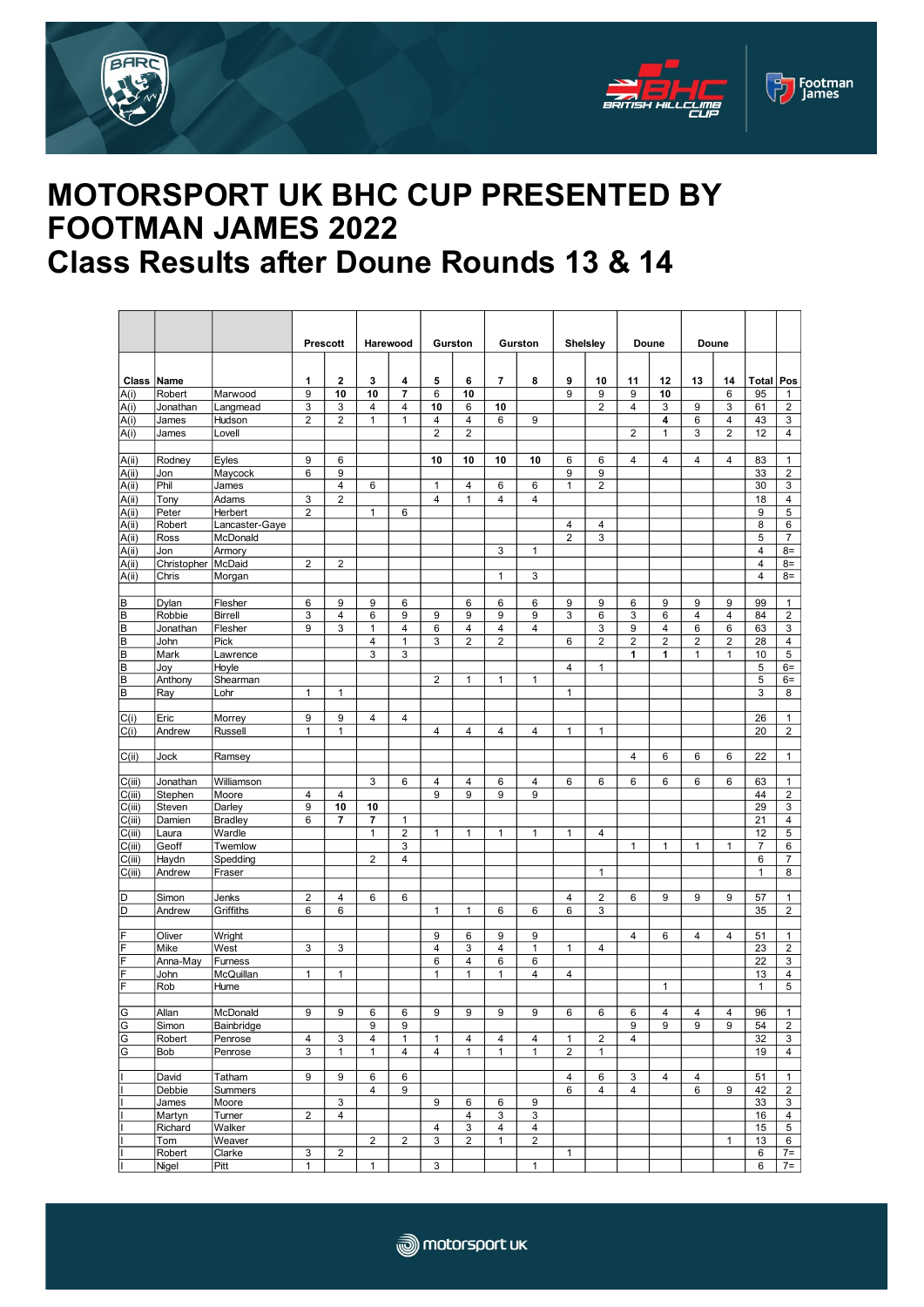





## **MOTORSPORT UK BHC CUP PRESENTED BY FOOTMAN JAMES 2022 Class Results after Doune Rounds 13 & 14**

|                     |                     |                     | <b>Prescott</b> |                     | Harewood            |                | Gurston             |                     | Gurston        |                         | <b>Shelsley</b>       |                     | Doune          |                | Doune          |                |                    |                                         |
|---------------------|---------------------|---------------------|-----------------|---------------------|---------------------|----------------|---------------------|---------------------|----------------|-------------------------|-----------------------|---------------------|----------------|----------------|----------------|----------------|--------------------|-----------------------------------------|
|                     |                     |                     |                 |                     |                     |                |                     |                     |                |                         |                       |                     |                |                |                |                |                    |                                         |
| <b>Class Name</b>   |                     |                     | 1               | $\mathbf{2}$        | 3                   | 4              | 5                   | 6                   | 7              | 8                       | 9                     | 10                  | 11             | 12             | 13             | 14             | <b>Total</b>       | Pos                                     |
| A(i)                | Robert              | Marwood             | 9               | 10                  | 10                  | 7              | 6                   | 10                  |                |                         | 9                     | 9                   | 9              | 10             |                | 6              | 95                 | 1                                       |
| A(i)                | Jonathan            | Langmead            | 3               | 3                   | 4                   | 4              | 10                  | 6                   | 10             |                         |                       | 2                   | 4              | 3              | 9              | 3              | 61                 | $\overline{c}$                          |
| A(i)                | James               | Hudson              | $\overline{2}$  | $\overline{2}$      | $\mathbf{1}$        | $\mathbf{1}$   | 4                   | $\overline{4}$      | 6              | 9                       |                       |                     |                | 4              | 6              | 4              | 43                 | 3                                       |
| A(i)                | James               | Lovell              |                 |                     |                     |                | $\overline{2}$      | $\overline{2}$      |                |                         |                       |                     | $\overline{2}$ | $\mathbf{1}$   | 3              | $\overline{2}$ | 12                 | 4                                       |
|                     |                     |                     |                 |                     |                     |                |                     |                     |                |                         |                       |                     |                |                |                |                |                    |                                         |
| A(i)                | Rodney              | Eyles               | 9               | 6                   |                     |                | 10                  | 10                  | 10             | 10                      | 6                     | 6                   | 4              | 4              | 4              | 4              | 83                 | $\mathbf{1}$                            |
| A(i)<br>A(ii)       | Jon<br>Phil         | Maycock<br>James    | 6               | 9<br>$\overline{4}$ | 6                   |                | 1                   | 4                   | 6              | 6                       | $9\,$<br>$\mathbf{1}$ | 9<br>$\overline{2}$ |                |                |                |                | 33<br>30           | $\overline{c}$<br>3                     |
| A(i)                | Tony                | Adams               | 3               | $\overline{c}$      |                     |                | $\overline{4}$      | $\mathbf{1}$        | $\overline{4}$ | $\overline{4}$          |                       |                     |                |                |                |                | 18                 | 4                                       |
| A(i)                | Peter               | Herbert             | $\overline{2}$  |                     | $\mathbf{1}$        | 6              |                     |                     |                |                         |                       |                     |                |                |                |                | 9                  | 5                                       |
| A(ii)               | Robert              | Lancaster-Gaye      |                 |                     |                     |                |                     |                     |                |                         | $\overline{4}$        | 4                   |                |                |                |                | 8                  | 6                                       |
| $\overline{A(i)}$   | Ross                | McDonald            |                 |                     |                     |                |                     |                     |                |                         | $\overline{2}$        | 3                   |                |                |                |                | 5                  | $\overline{7}$                          |
| A(i)                | Jon                 | Armory              |                 |                     |                     |                |                     |                     | 3              | 1                       |                       |                     |                |                |                |                | 4                  | $8=$                                    |
| A(i)                | Christopher         | McDaid              | $\overline{2}$  | $\overline{2}$      |                     |                |                     |                     |                |                         |                       |                     |                |                |                |                | 4<br>4             | $8=$                                    |
| $\overline{A(i)}$   | Chris               | Morgan              |                 |                     |                     |                |                     |                     | $\mathbf{1}$   | 3                       |                       |                     |                |                |                |                |                    | $8=$                                    |
| В                   | Dylan               | Flesher             | 6               | 9                   | 9                   | 6              |                     | 6                   | 6              | 6                       | 9                     | 9                   | 6              | 9              | 9              | 9              | 99                 | $\mathbf{1}$                            |
| B                   | Robbie              | <b>Birrell</b>      | 3               | $\overline{4}$      | 6                   | 9              | 9                   | 9                   | 9              | 9                       | 3                     | 6                   | 3              | 6              | 4              | $\overline{4}$ | 84                 | $\sqrt{2}$                              |
| B                   | Jonathan            | Flesher             | 9               | 3                   | $\mathbf{1}$        | $\overline{4}$ | 6                   | $\overline{4}$      | $\overline{4}$ | 4                       |                       | 3                   | 9              | 4              | 6              | 6              | 63                 | 3                                       |
| B                   | John                | Pick                |                 |                     | $\overline{4}$      | $\mathbf{1}$   | 3                   | $\overline{2}$      | $\overline{2}$ |                         | 6                     | $\overline{2}$      | $\overline{2}$ | $\overline{2}$ | $\overline{2}$ | 2              | 28                 | $\overline{\mathbf{4}}$                 |
| B                   | Mark                | Lawrence            |                 |                     | 3                   | 3              |                     |                     |                |                         |                       |                     | 1              | 1              | $\mathbf{1}$   | 1              | 10                 | $\,$ 5 $\,$                             |
| B                   | Joy                 | Hoyle               |                 |                     |                     |                |                     |                     |                |                         | $\overline{4}$        | 1                   |                |                |                |                | 5                  | $6=$                                    |
| B<br>B              | Anthony             | Shearman<br>Lohr    | 1               | $\mathbf{1}$        |                     |                | $\overline{2}$      | $\mathbf{1}$        | $\mathbf{1}$   | $\mathbf{1}$            | $\mathbf{1}$          |                     |                |                |                |                | 5<br>3             | $6=$<br>8                               |
|                     | Ray                 |                     |                 |                     |                     |                |                     |                     |                |                         |                       |                     |                |                |                |                |                    |                                         |
| C(i)                | Eric                | Morrey              | 9               | 9                   | 4                   | $\overline{4}$ |                     |                     |                |                         |                       |                     |                |                |                |                | 26                 | $\mathbf{1}$                            |
| C(i)                | Andrew              | Russell             | $\mathbf{1}$    | $\mathbf{1}$        |                     |                | 4                   | $\overline{4}$      | 4              | $\overline{\mathbf{4}}$ | $\mathbf{1}$          | 1                   |                |                |                |                | 20                 | $\overline{2}$                          |
|                     |                     |                     |                 |                     |                     |                |                     |                     |                |                         |                       |                     |                |                |                |                |                    |                                         |
| C(ii)               | Jock                | Ramsey              |                 |                     |                     |                |                     |                     |                |                         |                       |                     | 4              | 6              | 6              | 6              | 22                 | $\mathbf{1}$                            |
|                     |                     |                     |                 |                     |                     |                |                     |                     |                |                         |                       |                     |                |                |                |                |                    |                                         |
| C(iii)<br>C(iii)    | Jonathan<br>Stephen | Williamson<br>Moore | 4               | 4                   | 3                   | 6              | $\overline{4}$<br>9 | $\overline{4}$<br>9 | 6<br>9         | 4<br>9                  | 6                     | 6                   | 6              | 6              | 6              | 6              | 63<br>44           | $\mathbf{1}$<br>$\overline{\mathbf{c}}$ |
| C(iii)              | Steven              | Darley              | 9               | 10                  | 10                  |                |                     |                     |                |                         |                       |                     |                |                |                |                | 29                 | 3                                       |
| C(iii)              | Damien              | Bradley             | 6               | $\overline{7}$      | $\overline{7}$      | $\mathbf{1}$   |                     |                     |                |                         |                       |                     |                |                |                |                | 21                 | 4                                       |
| C(iii)              | Laura               | Wardle              |                 |                     | $\mathbf{1}$        | $\overline{2}$ | $\mathbf{1}$        | $\mathbf{1}$        | $\mathbf{1}$   | $\mathbf{1}$            | $\mathbf{1}$          | 4                   |                |                |                |                | 12                 | 5                                       |
| C(iii)              | Geoff               | Twemlow             |                 |                     |                     | 3              |                     |                     |                |                         |                       |                     | 1              | 1              | 1              | 1              | 7                  | 6                                       |
| C(iii)              | Haydn               | Spedding            |                 |                     | $\overline{2}$      | $\overline{4}$ |                     |                     |                |                         |                       |                     |                |                |                |                | 6                  | 7                                       |
| $\overline{C(iii)}$ | Andrew              | Fraser              |                 |                     |                     |                |                     |                     |                |                         |                       | $\mathbf{1}$        |                |                |                |                | $\mathbf{1}$       | 8                                       |
| D                   | Simon               | Jenks               | $\overline{2}$  | $\overline{4}$      | 6                   | 6              |                     |                     |                |                         | 4                     | $\overline{2}$      | 6              | 9              | 9              | 9              | 57                 | $\mathbf{1}$                            |
| D                   | Andrew              | Griffiths           | 6               | 6                   |                     |                | $\mathbf{1}$        | $\mathbf{1}$        | 6              | 6                       | 6                     | 3                   |                |                |                |                | 35                 | $\overline{2}$                          |
|                     |                     |                     |                 |                     |                     |                |                     |                     |                |                         |                       |                     |                |                |                |                |                    |                                         |
| F                   | Oliver              | Wright              |                 |                     |                     |                | 9                   | 6                   | 9              | 9                       |                       |                     | 4              | 6              | 4              | 4              | 51                 | $\mathbf{1}$                            |
| F                   | Mike                | West                | 3               | 3                   |                     |                | 4                   | 3                   | $\overline{4}$ | 1                       | $\mathbf{1}$          | $\overline{4}$      |                |                |                |                | 23                 | $\sqrt{2}$                              |
| F                   | Anna-May            | Furness             |                 |                     |                     |                | 6                   | 4                   | 6              | 6                       |                       |                     |                |                |                |                | 22                 | 3                                       |
| F<br>F              | John<br>Rob         | McQuillan<br>Hume   | $\mathbf{1}$    | $\mathbf{1}$        |                     |                | $\mathbf{1}$        | $\mathbf{1}$        | $\mathbf{1}$   | $\overline{4}$          | $\overline{4}$        |                     |                | 1              |                |                | 13<br>$\mathbf{1}$ | 4<br>5                                  |
|                     |                     |                     |                 |                     |                     |                |                     |                     |                |                         |                       |                     |                |                |                |                |                    |                                         |
| G                   | Allan               | McDonald            | 9               | 9                   | 6                   | 6              | 9                   | 9                   | 9              | 9                       | 6                     | 6                   | 6              | 4              | 4              | 4              | 96                 | 1                                       |
| G                   | Simon               | Bainbridge          |                 |                     | 9                   | $9\,$          |                     |                     |                |                         |                       |                     | 9              | 9              | 9              | 9              | 54                 | $\overline{c}$                          |
| G                   | Robert              | Penrose             | $\overline{4}$  | 3                   | $\overline{4}$      | $\mathbf{1}$   | $\mathbf{1}$        | 4                   | 4              | 4                       | $\mathbf{1}$          | $\overline{2}$      | 4              |                |                |                | 32                 | 3                                       |
| G                   | Bob                 | Penrose             | 3               | $\mathbf{1}$        | $\mathbf{1}$        | 4              | $\overline{4}$      | $\mathbf{1}$        | $\mathbf{1}$   | $\mathbf{1}$            | $\overline{2}$        | 1                   |                |                |                |                | 19                 | $\overline{4}$                          |
|                     |                     |                     |                 |                     |                     |                |                     |                     |                |                         |                       |                     |                |                |                |                |                    |                                         |
|                     | David               | Tatham<br>Summers   | 9               | 9                   | 6<br>$\overline{4}$ | $\,6\,$        |                     |                     |                |                         | 4                     | 6                   | 3<br>4         | 4              | 4              | 9              | 51                 | $\mathbf{1}$                            |
| ı                   | Debbie<br>James     | Moore               |                 | 3                   |                     | 9              | 9                   | 6                   | 6              | 9                       | 6                     | 4                   |                |                | 6              |                | 42<br>33           | $\sqrt{2}$<br>3                         |
|                     | Martyn              | Turner              | $\overline{2}$  | $\overline{4}$      |                     |                |                     | $\overline{4}$      | 3              | 3                       |                       |                     |                |                |                |                | 16                 | 4                                       |
|                     | Richard             | Walker              |                 |                     |                     |                | 4                   | 3                   | 4              | 4                       |                       |                     |                |                |                |                | 15                 | 5                                       |
|                     | Tom                 | Weaver              |                 |                     | $\overline{2}$      | $\overline{2}$ | 3                   | $\overline{2}$      | $\mathbf{1}$   | $\overline{2}$          |                       |                     |                |                |                | $\mathbf{1}$   | 13                 | 6                                       |
|                     | Robert              | Clarke              | 3               | $\sqrt{2}$          |                     |                |                     |                     |                |                         | $\mathbf{1}$          |                     |                |                |                |                | 6                  | $7 =$                                   |
|                     | Nigel               | Pitt                | $\mathbf{1}$    |                     | $\mathbf{1}$        |                | 3                   |                     |                | $\mathbf 1$             |                       |                     |                |                |                |                | 6                  | $7=$                                    |